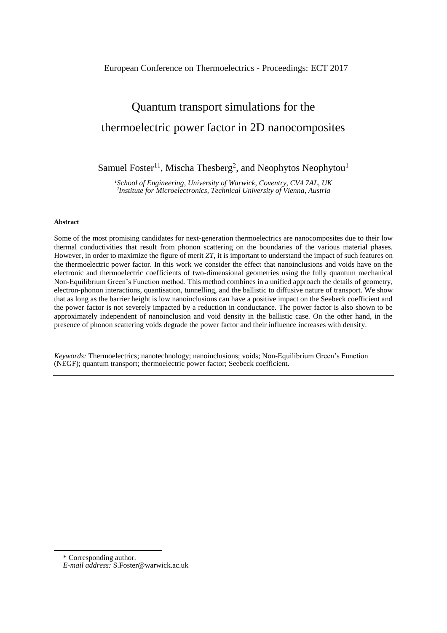# European Conference on Thermoelectrics - Proceedings: ECT 2017

# Quantum transport simulations for the thermoelectric power factor in 2D nanocomposites

Samuel Foster<sup>11</sup>, Mischa Thesberg<sup>2</sup>, and Neophytos Neophytou<sup>1</sup>

*<sup>1</sup>School of Engineering, University of Warwick, Coventry, CV4 7AL, UK 2 Institute for Microelectronics, Technical University of Vienna, Austria*

#### **Abstract**

Some of the most promising candidates for next-generation thermoelectrics are nanocomposites due to their low thermal conductivities that result from phonon scattering on the boundaries of the various material phases. However, in order to maximize the figure of merit *ZT*, it is important to understand the impact of such features on the thermoelectric power factor. In this work we consider the effect that nanoinclusions and voids have on the electronic and thermoelectric coefficients of two-dimensional geometries using the fully quantum mechanical Non-Equilibrium Green's Function method. This method combines in a unified approach the details of geometry, electron-phonon interactions, quantisation, tunnelling, and the ballistic to diffusive nature of transport. We show that as long as the barrier height is low nanoinclusions can have a positive impact on the Seebeck coefficient and the power factor is not severely impacted by a reduction in conductance. The power factor is also shown to be approximately independent of nanoinclusion and void density in the ballistic case. On the other hand, in the presence of phonon scattering voids degrade the power factor and their influence increases with density.

*Keywords:* Thermoelectrics; nanotechnology; nanoinclusions; voids; Non-Equilibrium Green's Function (NEGF); quantum transport; thermoelectric power factor; Seebeck coefficient.

1

<sup>\*</sup> Corresponding author.

*E-mail address:* [S.Foster@warwick.ac.uk](mailto:S.Foster@warwick.ac.uk)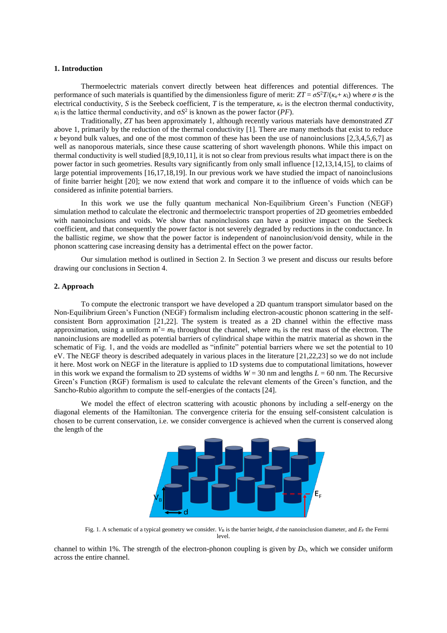#### **1. Introduction**

Thermoelectric materials convert directly between heat differences and potential differences. The performance of such materials is quantified by the dimensionless figure of merit:  $ZT = \sigma S^2 T / (\kappa_e + \kappa_l)$  where  $\sigma$  is the electrical conductivity, *S* is the Seebeck coefficient, *T* is the temperature, *κ*<sup>e</sup> is the electron thermal conductivity,  $\kappa_l$  is the lattice thermal conductivity, and  $\sigma S^2$  is known as the power factor (*PF*).

Traditionally, *ZT* has been approximately 1, although recently various materials have demonstrated *ZT* above 1, primarily by the reduction of the thermal conductivity [1]. There are many methods that exist to reduce *κ* beyond bulk values, and one of the most common of these has been the use of nanoinclusions [2,3,4,5,6,7] as well as nanoporous materials, since these cause scattering of short wavelength phonons. While this impact on thermal conductivity is well studied [8,9,10,11], it is not so clear from previous results what impact there is on the power factor in such geometries. Results vary significantly from only small influence [12,13,14,15], to claims of large potential improvements [16,17,18,19]. In our previous work we have studied the impact of nanoinclusions of finite barrier height [20]; we now extend that work and compare it to the influence of voids which can be considered as infinite potential barriers.

In this work we use the fully quantum mechanical Non-Equilibrium Green's Function (NEGF) simulation method to calculate the electronic and thermoelectric transport properties of 2D geometries embedded with nanoinclusions and voids. We show that nanoinclusions can have a positive impact on the Seebeck coefficient, and that consequently the power factor is not severely degraded by reductions in the conductance. In the ballistic regime, we show that the power factor is independent of nanoinclusion/void density, while in the phonon scattering case increasing density has a detrimental effect on the power factor.

Our simulation method is outlined in Section 2. In Section 3 we present and discuss our results before drawing our conclusions in Section 4.

#### **2. Approach**

To compute the electronic transport we have developed a 2D quantum transport simulator based on the Non-Equilibrium Green's Function (NEGF) formalism including electron-acoustic phonon scattering in the selfconsistent Born approximation [21,22]. The system is treated as a 2D channel within the effective mass approximation, using a uniform  $m^* = m_0$  throughout the channel, where  $m_0$  is the rest mass of the electron. The nanoinclusions are modelled as potential barriers of cylindrical shape within the matrix material as shown in the schematic of Fig. 1, and the voids are modelled as "infinite" potential barriers where we set the potential to 10 eV. The NEGF theory is described adequately in various places in the literature [21,22,23] so we do not include it here. Most work on NEGF in the literature is applied to 1D systems due to computational limitations, however in this work we expand the formalism to 2D systems of widths  $W = 30$  nm and lengths  $L = 60$  nm. The Recursive Green's Function (RGF) formalism is used to calculate the relevant elements of the Green's function, and the Sancho-Rubio algorithm to compute the self-energies of the contacts [24].

We model the effect of electron scattering with acoustic phonons by including a self-energy on the diagonal elements of the Hamiltonian. The convergence criteria for the ensuing self-consistent calculation is chosen to be current conservation, i.e. we consider convergence is achieved when the current is conserved along the length of the



Fig. 1. A schematic of a typical geometry we consider.  $V_B$  is the barrier height, *d* the nanoinclusion diameter, and  $E_F$  the Fermi level.

channel to within 1%. The strength of the electron-phonon coupling is given by  $D_0$ , which we consider uniform across the entire channel.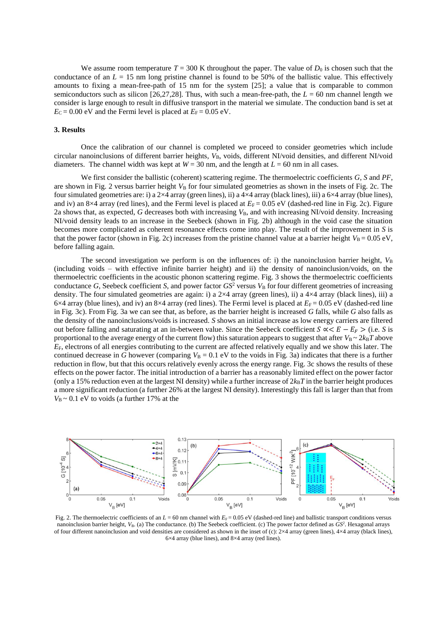We assume room temperature  $T = 300$  K throughout the paper. The value of  $D_0$  is chosen such that the conductance of an  $L = 15$  nm long pristine channel is found to be 50% of the ballistic value. This effectively amounts to fixing a mean-free-path of 15 nm for the system [25]; a value that is comparable to common semiconductors such as silicon [26,27,28]. Thus, with such a mean-free-path, the *L* = 60 nm channel length we consider is large enough to result in diffusive transport in the material we simulate. The conduction band is set at  $E_C = 0.00$  eV and the Fermi level is placed at  $E_F = 0.05$  eV.

# **3. Results**

Once the calibration of our channel is completed we proceed to consider geometries which include circular nanoinclusions of different barrier heights, *V*B, voids, different NI/void densities, and different NI/void diameters. The channel width was kept at  $W = 30$  nm, and the length at  $L = 60$  nm in all cases.

We first consider the ballistic (coherent) scattering regime. The thermoelectric coefficients *G*, *S* and *PF*, are shown in Fig. 2 versus barrier height  $V_B$  for four simulated geometries as shown in the insets of Fig. 2c. The four simulated geometries are: i) a  $2\times4$  array (green lines), ii) a  $4\times4$  array (black lines), iii) a  $6\times4$  array (blue lines), and iv) an 8×4 array (red lines), and the Fermi level is placed at  $E_F = 0.05$  eV (dashed-red line in Fig. 2c). Figure 2a shows that, as expected,  $G$  decreases both with increasing  $V_B$ , and with increasing NI/void density. Increasing NI/void density leads to an increase in the Seebeck (shown in Fig. 2b) although in the void case the situation becomes more complicated as coherent resonance effects come into play. The result of the improvement in *S* is that the power factor (shown in Fig. 2c) increases from the pristine channel value at a barrier height  $V_B = 0.05 \text{ eV}$ , before falling again.

The second investigation we perform is on the influences of: i) the nanoinclusion barrier height,  $V<sub>B</sub>$ (including voids – with effective infinite barrier height) and ii) the density of nanoinclusion/voids, on the thermoelectric coefficients in the acoustic phonon scattering regime. Fig. 3 shows the thermoelectric coefficients conductance *G*, Seebeck coefficient *S*, and power factor  $GS^2$  versus  $V_B$  for four different geometries of increasing density. The four simulated geometries are again: i) a  $2\times4$  array (green lines), ii) a  $4\times4$  array (black lines), iii) a  $6\times4$  array (blue lines), and iv) an  $8\times4$  array (red lines). The Fermi level is placed at  $E_F = 0.05$  eV (dashed-red line in Fig. 3c). From Fig. 3a we can see that, as before, as the barrier height is increased *G* falls, while *G* also falls as the density of the nanoinclusions/voids is increased. *S* shows an initial increase as low energy carriers are filtered out before falling and saturating at an in-between value. Since the Seebeck coefficient  $S \propto E - E_F >$  (i.e. *S* is proportional to the average energy of the current flow) this saturation appears to suggest that after  $V_B \sim 2k_BT$  above *E*F, electrons of all energies contributing to the current are affected relatively equally and we show this later. The continued decrease in *G* however (comparing  $V_B = 0.1$  eV to the voids in Fig. 3a) indicates that there is a further reduction in flow, but that this occurs relatively evenly across the energy range. Fig. 3c shows the results of these effects on the power factor. The initial introduction of a barrier has a reasonably limited effect on the power factor (only a 15% reduction even at the largest NI density) while a further increase of  $2k_BT$  in the barrier height produces a more significant reduction (a further 26% at the largest NI density). Interestingly this fall is larger than that from  $V_B \sim 0.1$  eV to voids (a further 17% at the



Fig. 2. The thermoelectric coefficients of an  $L = 60$  nm channel with  $E_F = 0.05$  eV (dashed-red line) and ballistic transport conditions versus nanoinclusion barrier height, V<sub>B</sub>. (a) The conductance. (b) The Seebeck coefficient. (c) The power factor defined as *GS*<sup>2</sup>. Hexagonal arrays of four different nanoinclusion and void densities are considered as shown in the inset of (c):  $2 \times 4$  array (green lines),  $4 \times 4$  array (black lines),  $6\times4$  array (blue lines), and  $8\times4$  array (red lines).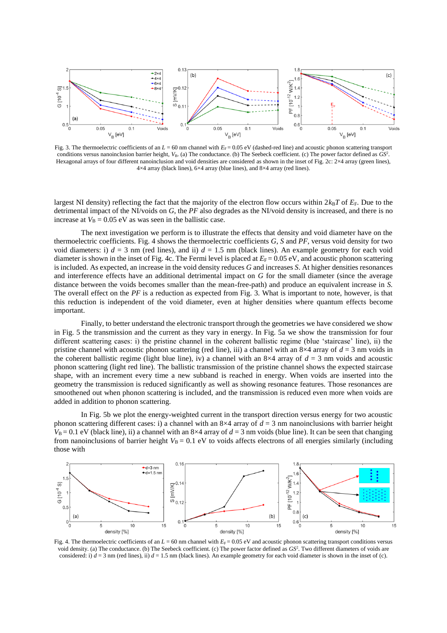

Fig. 3. The thermoelectric coefficients of an  $L = 60$  nm channel with  $E_F = 0.05$  eV (dashed-red line) and acoustic phonon scattering transport conditions versus nanoinclusion barrier height,  $V_B$ . (a) The conductance. (b) The Seebeck coefficient. (c) The power factor defined as  $GS^2$ . Hexagonal arrays of four different nanoinclusion and void densities are considered as shown in the inset of Fig. 2c: 2×4 array (green lines),  $4\times4$  array (black lines),  $6\times4$  array (blue lines), and  $8\times4$  array (red lines).

largest NI density) reflecting the fact that the majority of the electron flow occurs within  $2k_BT$  of  $E_F$ . Due to the detrimental impact of the NI/voids on *G*, the *PF* also degrades as the NI/void density is increased, and there is no increase at  $V_B = 0.05$  eV as was seen in the ballistic case.

The next investigation we perform is to illustrate the effects that density and void diameter have on the thermoelectric coefficients. Fig. 4 shows the thermoelectric coefficients *G*, *S* and *PF*, versus void density for two void diameters: i)  $d = 3$  nm (red lines), and ii)  $d = 1.5$  nm (black lines). An example geometry for each void diameter is shown in the inset of Fig. 4c. The Fermi level is placed at  $E_F = 0.05 \text{ eV}$ , and acoustic phonon scattering is included. As expected, an increase in the void density reduces *G* and increases *S*. At higher densities resonances and interference effects have an additional detrimental impact on *G* for the small diameter (since the average distance between the voids becomes smaller than the mean-free-path) and produce an equivalent increase in *S.*  The overall effect on the *PF* is a reduction as expected from Fig. 3. What is important to note, however, is that this reduction is independent of the void diameter, even at higher densities where quantum effects become important.

Finally, to better understand the electronic transport through the geometries we have considered we show in Fig. 5 the transmission and the current as they vary in energy. In Fig. 5a we show the transmission for four different scattering cases: i) the pristine channel in the coherent ballistic regime (blue 'staircase' line), ii) the pristine channel with acoustic phonon scattering (red line), iii) a channel with an  $8\times4$  array of  $d = 3$  nm voids in the coherent ballistic regime (light blue line), iv) a channel with an  $8\times4$  array of  $d = 3$  nm voids and acoustic phonon scattering (light red line). The ballistic transmission of the pristine channel shows the expected staircase shape, with an increment every time a new subband is reached in energy. When voids are inserted into the geometry the transmission is reduced significantly as well as showing resonance features. Those resonances are smoothened out when phonon scattering is included, and the transmission is reduced even more when voids are added in addition to phonon scattering.

In Fig. 5b we plot the energy-weighted current in the transport direction versus energy for two acoustic phonon scattering different cases: i) a channel with an  $8\times4$  array of  $d = 3$  nm nanoinclusions with barrier height  $V_B = 0.1$  eV (black line), ii) a channel with an 8×4 array of  $d = 3$  nm voids (blue line). It can be seen that changing from nanoinclusions of barrier height  $V_B = 0.1$  eV to voids affects electrons of all energies similarly (including those with



Fig. 4. The thermoelectric coefficients of an  $L = 60$  nm channel with  $E_F = 0.05$  eV and acoustic phonon scattering transport conditions versus void density. (a) The conductance. (b) The Seebeck coefficient. (c) The power factor defined as *GS*<sup>2</sup>. Two different diameters of voids are considered: i)  $d = 3$  nm (red lines), ii)  $d = 1.5$  nm (black lines). An example geometry for each void diameter is shown in the inset of (c).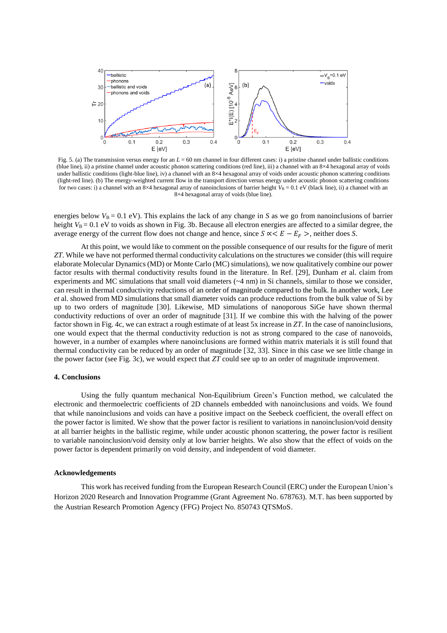

Fig. 5. (a) The transmission versus energy for an  $L = 60$  nm channel in four different cases: i) a pristine channel under ballistic conditions (blue line), ii) a pristine channel under acoustic phonon scattering conditions (red line), iii) a channel with an 8×4 hexagonal array of voids under ballistic conditions (light-blue line), iv) a channel with an 8×4 hexagonal array of voids under acoustic phonon scattering conditions (light-red line). (b) The energy-weighted current flow in the transport direction versus energy under acoustic phonon scattering conditions for two cases: i) a channel with an 8×4 hexagonal array of nanoinclusions of barrier height  $V_B = 0.1$  eV (black line), ii) a channel with an 8×4 hexagonal array of voids (blue line).

energies below  $V_B = 0.1$  eV). This explains the lack of any change in *S* as we go from nanoinclusions of barrier height  $V_B = 0.1$  eV to voids as shown in Fig. 3b. Because all electron energies are affected to a similar degree, the average energy of the current flow does not change and hence, since  $S \propto E - E_F >$ , neither does *S*.

At this point, we would like to comment on the possible consequence of our results for the figure of merit *ZT*. While we have not performed thermal conductivity calculations on the structures we consider (this will require elaborate Molecular Dynamics (MD) or Monte Carlo (MC) simulations), we now qualitatively combine our power factor results with thermal conductivity results found in the literature. In Ref. [29], Dunham *et* al. claim from experiments and MC simulations that small void diameters (~4 nm) in Si channels, similar to those we consider, can result in thermal conductivity reductions of an order of magnitude compared to the bulk. In another work, Lee *et* al. showed from MD simulations that small diameter voids can produce reductions from the bulk value of Si by up to two orders of magnitude [30]. Likewise, MD simulations of nanoporous SiGe have shown thermal conductivity reductions of over an order of magnitude [31]. If we combine this with the halving of the power factor shown in Fig. 4c, we can extract a rough estimate of at least 5x increase in *ZT*. In the case of nanoinclusions, one would expect that the thermal conductivity reduction is not as strong compared to the case of nanovoids, however, in a number of examples where nanoinclusions are formed within matrix materials it is still found that thermal conductivity can be reduced by an order of magnitude [32, 33]. Since in this case we see little change in the power factor (see Fig. 3c), we would expect that *ZT* could see up to an order of magnitude improvement.

### **4. Conclusions**

Using the fully quantum mechanical Non-Equilibrium Green's Function method, we calculated the electronic and thermoelectric coefficients of 2D channels embedded with nanoinclusions and voids. We found that while nanoinclusions and voids can have a positive impact on the Seebeck coefficient, the overall effect on the power factor is limited. We show that the power factor is resilient to variations in nanoinclusion/void density at all barrier heights in the ballistic regime, while under acoustic phonon scattering, the power factor is resilient to variable nanoinclusion/void density only at low barrier heights. We also show that the effect of voids on the power factor is dependent primarily on void density, and independent of void diameter.

# **Acknowledgements**

This work has received funding from the European Research Council (ERC) under the European Union's Horizon 2020 Research and Innovation Programme (Grant Agreement No. 678763). M.T. has been supported by the Austrian Research Promotion Agency (FFG) Project No. 850743 QTSMoS.